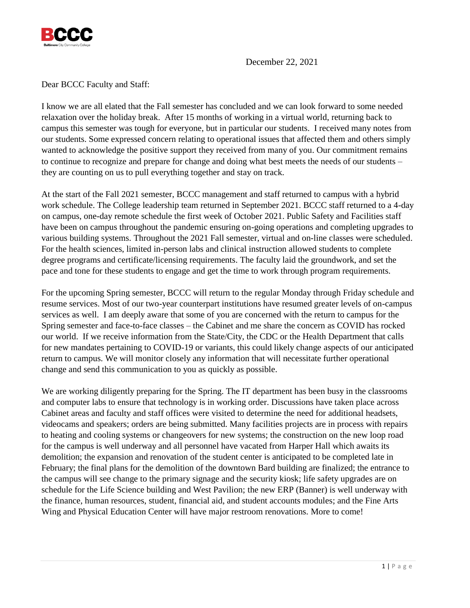

December 22, 2021

Dear BCCC Faculty and Staff:

I know we are all elated that the Fall semester has concluded and we can look forward to some needed relaxation over the holiday break. After 15 months of working in a virtual world, returning back to campus this semester was tough for everyone, but in particular our students. I received many notes from our students. Some expressed concern relating to operational issues that affected them and others simply wanted to acknowledge the positive support they received from many of you. Our commitment remains to continue to recognize and prepare for change and doing what best meets the needs of our students – they are counting on us to pull everything together and stay on track.

At the start of the Fall 2021 semester, BCCC management and staff returned to campus with a hybrid work schedule. The College leadership team returned in September 2021. BCCC staff returned to a 4-day on campus, one-day remote schedule the first week of October 2021. Public Safety and Facilities staff have been on campus throughout the pandemic ensuring on-going operations and completing upgrades to various building systems. Throughout the 2021 Fall semester, virtual and on-line classes were scheduled. For the health sciences, limited in-person labs and clinical instruction allowed students to complete degree programs and certificate/licensing requirements. The faculty laid the groundwork, and set the pace and tone for these students to engage and get the time to work through program requirements.

For the upcoming Spring semester, BCCC will return to the regular Monday through Friday schedule and resume services. Most of our two-year counterpart institutions have resumed greater levels of on-campus services as well. I am deeply aware that some of you are concerned with the return to campus for the Spring semester and face-to-face classes – the Cabinet and me share the concern as COVID has rocked our world. If we receive information from the State/City, the CDC or the Health Department that calls for new mandates pertaining to COVID-19 or variants, this could likely change aspects of our anticipated return to campus. We will monitor closely any information that will necessitate further operational change and send this communication to you as quickly as possible.

We are working diligently preparing for the Spring. The IT department has been busy in the classrooms and computer labs to ensure that technology is in working order. Discussions have taken place across Cabinet areas and faculty and staff offices were visited to determine the need for additional headsets, videocams and speakers; orders are being submitted. Many facilities projects are in process with repairs to heating and cooling systems or changeovers for new systems; the construction on the new loop road for the campus is well underway and all personnel have vacated from Harper Hall which awaits its demolition; the expansion and renovation of the student center is anticipated to be completed late in February; the final plans for the demolition of the downtown Bard building are finalized; the entrance to the campus will see change to the primary signage and the security kiosk; life safety upgrades are on schedule for the Life Science building and West Pavilion; the new ERP (Banner) is well underway with the finance, human resources, student, financial aid, and student accounts modules; and the Fine Arts Wing and Physical Education Center will have major restroom renovations. More to come!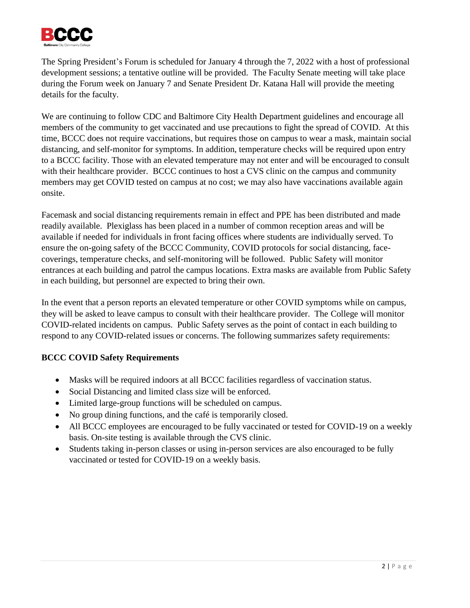

The Spring President's Forum is scheduled for January 4 through the 7, 2022 with a host of professional development sessions; a tentative outline will be provided. The Faculty Senate meeting will take place during the Forum week on January 7 and Senate President Dr. Katana Hall will provide the meeting details for the faculty.

We are continuing to follow CDC and Baltimore City Health Department guidelines and encourage all members of the community to get vaccinated and use precautions to fight the spread of COVID. At this time, BCCC does not require vaccinations, but requires those on campus to wear a mask, maintain social distancing, and self-monitor for symptoms. In addition, temperature checks will be required upon entry to a BCCC facility. Those with an elevated temperature may not enter and will be encouraged to consult with their healthcare provider. BCCC continues to host a CVS clinic on the campus and community members may get COVID tested on campus at no cost; we may also have vaccinations available again onsite.

Facemask and social distancing requirements remain in effect and PPE has been distributed and made readily available. Plexiglass has been placed in a number of common reception areas and will be available if needed for individuals in front facing offices where students are individually served. To ensure the on-going safety of the BCCC Community, COVID protocols for social distancing, facecoverings, temperature checks, and self-monitoring will be followed. Public Safety will monitor entrances at each building and patrol the campus locations. Extra masks are available from Public Safety in each building, but personnel are expected to bring their own.

In the event that a person reports an elevated temperature or other COVID symptoms while on campus, they will be asked to leave campus to consult with their healthcare provider. The College will monitor COVID-related incidents on campus. Public Safety serves as the point of contact in each building to respond to any COVID-related issues or concerns. The following summarizes safety requirements:

## **BCCC COVID Safety Requirements**

- Masks will be required indoors at all BCCC facilities regardless of vaccination status.
- Social Distancing and limited class size will be enforced.
- Limited large-group functions will be scheduled on campus.
- No group dining functions, and the café is temporarily closed.
- All BCCC employees are encouraged to be fully vaccinated or tested for COVID-19 on a weekly basis. On-site testing is available through the CVS clinic.
- Students taking in-person classes or using in-person services are also encouraged to be fully vaccinated or tested for COVID-19 on a weekly basis.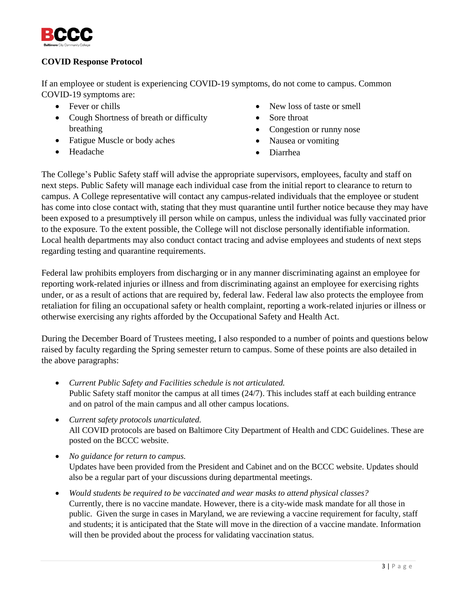

## **COVID Response Protocol**

If an employee or student is experiencing COVID-19 symptoms, do not come to campus. Common COVID-19 symptoms are:

- Fever or chills
- Cough Shortness of breath or difficulty breathing
- Fatigue Muscle or body aches
- Headache
- New loss of taste or smell
- Sore throat
- Congestion or runny nose
- Nausea or vomiting
- Diarrhea

The College's Public Safety staff will advise the appropriate supervisors, employees, faculty and staff on next steps. Public Safety will manage each individual case from the initial report to clearance to return to campus. A College representative will contact any campus-related individuals that the employee or student has come into close contact with, stating that they must quarantine until further notice because they may have been exposed to a presumptively ill person while on campus, unless the individual was fully vaccinated prior to the exposure. To the extent possible, the College will not disclose personally identifiable information. Local health departments may also conduct contact tracing and advise employees and students of next steps regarding testing and quarantine requirements.

Federal law prohibits employers from discharging or in any manner discriminating against an employee for reporting work-related injuries or illness and from discriminating against an employee for exercising rights under, or as a result of actions that are required by, federal law. Federal law also protects the employee from retaliation for filing an occupational safety or health complaint, reporting a work-related injuries or illness or otherwise exercising any rights afforded by the Occupational Safety and Health Act.

During the December Board of Trustees meeting, I also responded to a number of points and questions below raised by faculty regarding the Spring semester return to campus. Some of these points are also detailed in the above paragraphs:

- *Current Public Safety and Facilities schedule is not articulated.*  Public Safety staff monitor the campus at all times (24/7). This includes staff at each building entrance and on patrol of the main campus and all other campus locations.
- *Current safety protocols unarticulated.* All COVID protocols are based on Baltimore City Department of Health and CDC Guidelines. These are posted on the BCCC website.
- *No guidance for return to campus.* Updates have been provided from the President and Cabinet and on the BCCC website. Updates should also be a regular part of your discussions during departmental meetings.
- *Would students be required to be vaccinated and wear masks to attend physical classes?* Currently, there is no vaccine mandate. However, there is a city-wide mask mandate for all those in public. Given the surge in cases in Maryland, we are reviewing a vaccine requirement for faculty, staff and students; it is anticipated that the State will move in the direction of a vaccine mandate. Information will then be provided about the process for validating vaccination status.